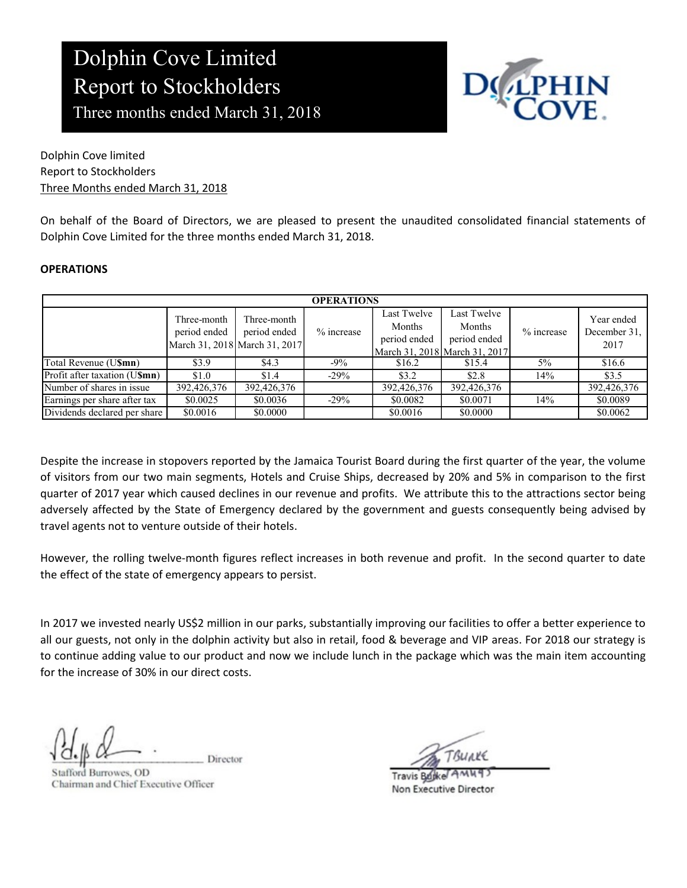### Dolphin Cove Limited Report to Stockholders Three months ended March 31, 2018



#### **OPERATIONS**

| Three months ended March 31, 2018                            | <b>Report to Stockholders</b>                                |                             |                   |                                       |                                                                        | <b>LPHIN</b><br>COVE. |                                    |
|--------------------------------------------------------------|--------------------------------------------------------------|-----------------------------|-------------------|---------------------------------------|------------------------------------------------------------------------|-----------------------|------------------------------------|
| Dolphin Cove limited                                         |                                                              |                             |                   |                                       |                                                                        |                       |                                    |
| <b>Report to Stockholders</b>                                |                                                              |                             |                   |                                       |                                                                        |                       |                                    |
| Three Months ended March 31, 2018                            |                                                              |                             |                   |                                       |                                                                        |                       |                                    |
| <b>OPERATIONS</b>                                            |                                                              |                             |                   |                                       |                                                                        |                       |                                    |
|                                                              |                                                              |                             | <b>OPERATIONS</b> |                                       |                                                                        |                       |                                    |
|                                                              |                                                              |                             |                   |                                       |                                                                        |                       |                                    |
|                                                              | Three-month<br>period ended<br>March 31, 2018 March 31, 2017 | Three-month<br>period ended | $%$ increase      | Last Twelve<br>Months<br>period ended | Last Twelve<br>Months<br>period ended<br>March 31, 2018 March 31, 2017 | % increase            | Year ended<br>December 31,<br>2017 |
| Total Revenue (U\$mn)                                        | \$3.9                                                        | \$4.3                       | $-9%$             | \$16.2                                | \$15.4                                                                 | $5\%$                 | \$16.6                             |
| Profit after taxation (U\$mn)                                | \$1.0                                                        | \$1.4                       | $-29%$            | \$3.2                                 | \$2.8                                                                  | 14%                   | \$3.5                              |
| Number of shares in issue                                    | 392,426,376                                                  | 392,426,376                 |                   | 392,426,376                           | 392,426,376                                                            |                       | 392,426,376                        |
| Earnings per share after tax<br>Dividends declared per share | \$0.0025                                                     | \$0.0036                    | $-29%$            | \$0.0082                              | \$0.0071                                                               | 14%                   | \$0.0089                           |

Despite the increase in stopovers reported by the Jamaica Tourist Board during the first quarter of the year, the volume of visitors from our two main segments, Hotels and Cruise Ships, decreased by 20% and 5% in comparison to the first quarter of 2017 year which caused declines in our revenue and profits. We attribute this to the attractions sector being adversely affected by the State of Emergency declared by the government and guests consequently being advised by travel agents not to venture outside of their hotels.

However, the rolling twelve-month figures reflect increases in both revenue and profit. In the second quarter to date the effect of the state of emergency appears to persist.

In 2017 we invested nearly US\$2 million in our parks, substantially improving our facilities to offer a better experience to all our guests, not only in the dolphin activity but also in retail, food & beverage and VIP areas. For 2018 our strategy is to continue adding value to our product and now we include lunch in the package which was the main item accounting for the increase of 30% in our direct costs.

Director

fford Burrowes, OD Chairman and Chief Executive Officer

Travis Bujke AM Non Executive Director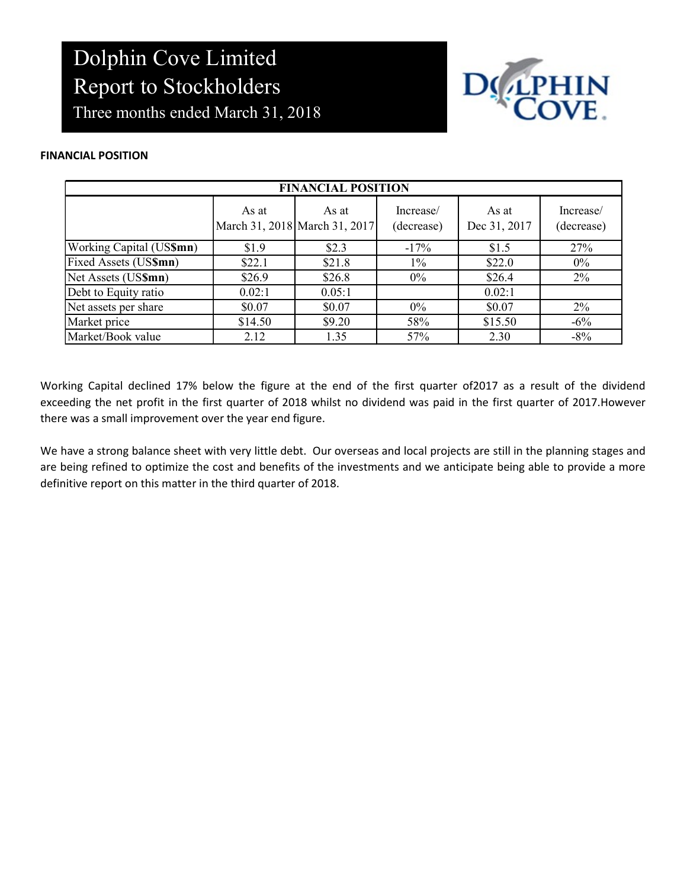

#### FINANCIAL POSITION

| <b>Report to Stockholders</b><br>Three months ended March 31, 2018<br><b>NCIAL POSITION</b> | Dolphin Cove Limited |                                        |                         | DOLPHIN               |                         |
|---------------------------------------------------------------------------------------------|----------------------|----------------------------------------|-------------------------|-----------------------|-------------------------|
|                                                                                             |                      | <b>FINANCIAL POSITION</b>              |                         |                       |                         |
|                                                                                             | As at                | As at<br>March 31, 2018 March 31, 2017 | Increase/<br>(decrease) | As at<br>Dec 31, 2017 | Increase/<br>(decrease) |
| Working Capital (US\$mn)                                                                    | \$1.9                | \$2.3                                  | $-17%$                  | \$1.5                 | 27%                     |
| Fixed Assets (US\$mn)                                                                       | \$22.1               | \$21.8                                 | $1\%$                   | \$22.0                | $0\%$                   |
| Net Assets (US\$mn)                                                                         | \$26.9               | \$26.8                                 | $0\%$                   | \$26.4                | 2%                      |
|                                                                                             |                      | 0.05:1                                 |                         | 0.02:1                |                         |
| Debt to Equity ratio                                                                        | 0.02:1               |                                        |                         |                       |                         |
| Net assets per share                                                                        | \$0.07               | \$0.07                                 | $0\%$                   | \$0.07                | 2%                      |
| Market price<br>Market/Book value                                                           | \$14.50              | \$9.20                                 | 58%                     | \$15.50               | $-6\%$                  |

Working Capital declined 17% below the figure at the end of the first quarter of2017 as a result of the dividend exceeding the net profit in the first quarter of 2018 whilst no dividend was paid in the first quarter of 2017.However there was a small improvement over the year end figure.

We have a strong balance sheet with very little debt. Our overseas and local projects are still in the planning stages and are being refined to optimize the cost and benefits of the investments and we anticipate being able to provide a more definitive report on this matter in the third quarter of 2018.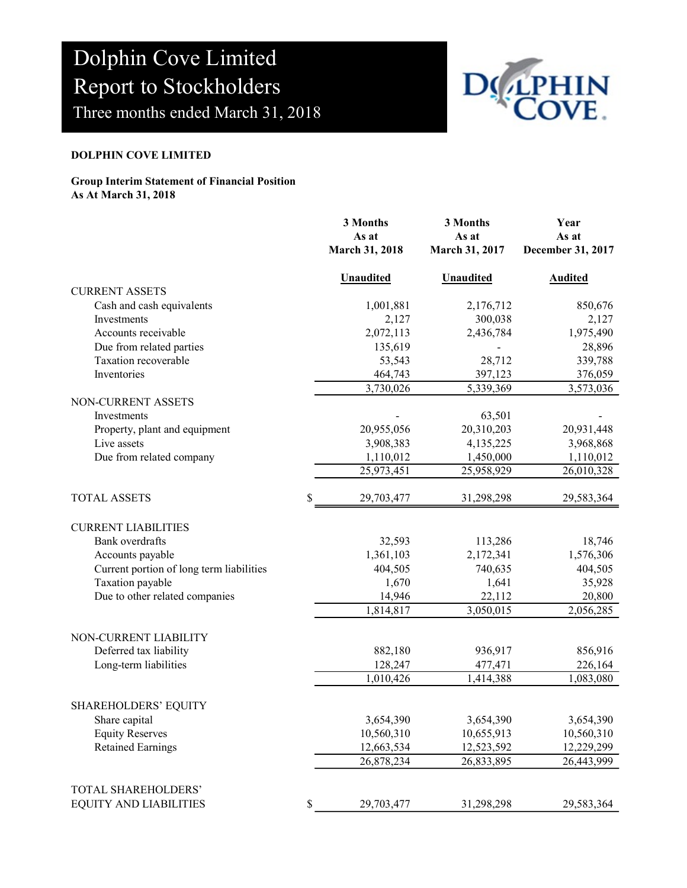

#### DOLPHIN COVE LIMITED

#### Group Interim Statement of Financial Position As At March 31, 2018

| Dolphin Cove Limited<br><b>Report to Stockholders</b><br>Three months ended March 31, 2018                                                                                 |                                                                 |                                                                 |                                                                 |  |
|----------------------------------------------------------------------------------------------------------------------------------------------------------------------------|-----------------------------------------------------------------|-----------------------------------------------------------------|-----------------------------------------------------------------|--|
| <b>DOLPHIN COVE LIMITED</b>                                                                                                                                                |                                                                 |                                                                 |                                                                 |  |
| <b>Group Interim Statement of Financial Position</b><br>As At March 31, 2018                                                                                               |                                                                 |                                                                 |                                                                 |  |
|                                                                                                                                                                            | 3 Months<br>As at<br>March 31, 2018                             | 3 Months<br>As at<br>March 31, 2017                             | Year<br>As at<br>December 31, 2017                              |  |
|                                                                                                                                                                            | <b>Unaudited</b>                                                | Unaudited                                                       | <b>Audited</b>                                                  |  |
| <b>CURRENT ASSETS</b><br>Cash and cash equivalents<br>Investments<br>Accounts receivable<br>Due from related parties<br>Taxation recoverable<br>Inventories                | 1,001,881<br>2,127<br>2,072,113<br>135,619<br>53,543<br>464,743 | 2,176,712<br>300,038<br>2,436,784<br>28,712<br>397,123          | 850,676<br>2,127<br>1,975,490<br>28,896<br>339,788<br>376,059   |  |
| NON-CURRENT ASSETS                                                                                                                                                         | 3,730,026                                                       | 5,339,369                                                       | 3,573,036                                                       |  |
| Investments<br>Property, plant and equipment<br>Live assets<br>Due from related company                                                                                    | 20,955,056<br>3,908,383<br>1,110,012<br>25,973,451              | 63,501<br>20,310,203<br>4,135,225<br>1,450,000<br>25,958,929    | 20,931,448<br>3,968,868<br>1,110,012<br>26,010,328              |  |
| <b>TOTAL ASSETS</b>                                                                                                                                                        | 29,703,477                                                      | 31,298,298                                                      | 29,583,364                                                      |  |
| <b>CURRENT LIABILITIES</b><br><b>Bank</b> overdrafts<br>Accounts payable<br>Current portion of long term liabilities<br>Taxation payable<br>Due to other related companies | 32,593<br>1,361,103<br>404,505<br>1,670<br>14,946<br>1,814,817  | 113,286<br>2,172,341<br>740,635<br>1,641<br>22,112<br>3,050,015 | 18,746<br>1,576,306<br>404,505<br>35,928<br>20,800<br>2,056,285 |  |
| NON-CURRENT LIABILITY<br>Deferred tax liability<br>Long-term liabilities                                                                                                   | 882,180<br>128,247<br>1,010,426                                 | 936,917<br>477,471<br>1,414,388                                 | 856,916<br>226,164<br>1,083,080                                 |  |
| SHAREHOLDERS' EQUITY<br>Share capital<br><b>Equity Reserves</b><br><b>Retained Earnings</b>                                                                                | 3,654,390<br>10,560,310<br>12,663,534<br>26,878,234             | 3,654,390<br>10,655,913<br>12,523,592<br>26,833,895             | 3,654,390<br>10,560,310<br>12,229,299<br>26,443,999             |  |
| TOTAL SHAREHOLDERS'<br><b>EQUITY AND LIABILITIES</b>                                                                                                                       | \$<br>29,703,477                                                | 31,298,298                                                      | 29,583,364                                                      |  |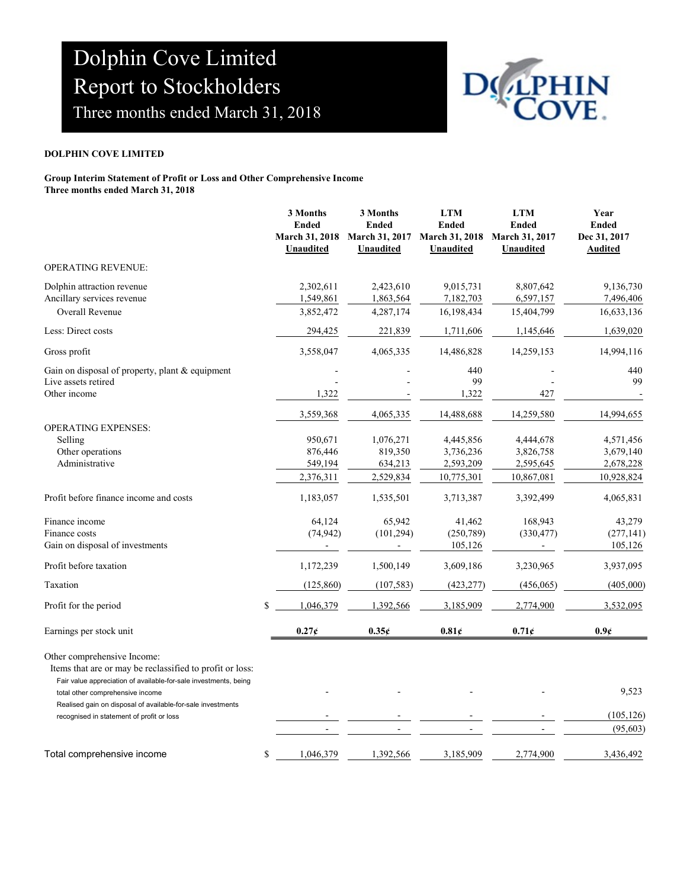

#### DOLPHIN COVE LIMITED

| Dolphin Cove Limited<br>Report to Stockholders<br>Three months ended March 31, 2018                                                                                                                                                                                                                         |                                                                       |                                                                        |                                                   |                                                           |                                                        |  |
|-------------------------------------------------------------------------------------------------------------------------------------------------------------------------------------------------------------------------------------------------------------------------------------------------------------|-----------------------------------------------------------------------|------------------------------------------------------------------------|---------------------------------------------------|-----------------------------------------------------------|--------------------------------------------------------|--|
| <b>DOLPHIN COVE LIMITED</b>                                                                                                                                                                                                                                                                                 |                                                                       |                                                                        |                                                   |                                                           |                                                        |  |
| Group Interim Statement of Profit or Loss and Other Comprehensive Income<br>Three months ended March 31, 2018                                                                                                                                                                                               |                                                                       |                                                                        |                                                   |                                                           |                                                        |  |
|                                                                                                                                                                                                                                                                                                             | 3 Months<br><b>Ended</b><br><b>March 31, 2018</b><br><b>Unaudited</b> | 3 Months<br><b>Ended</b><br>March 31, 2017 March 31, 2018<br>Unaudited | <b>LTM</b><br><b>Ended</b><br><b>Unaudited</b>    | <b>LTM</b><br><b>Ended</b><br>March 31, 2017<br>Unaudited | Year<br><b>Ended</b><br>Dec 31, 2017<br><b>Audited</b> |  |
| OPERATING REVENUE:                                                                                                                                                                                                                                                                                          |                                                                       |                                                                        |                                                   |                                                           |                                                        |  |
| Dolphin attraction revenue<br>Ancillary services revenue<br>Overall Revenue                                                                                                                                                                                                                                 | 2,302,611<br>1,549,861<br>3,852,472                                   | 2,423,610<br>1,863,564<br>4,287,174                                    | 9,015,731<br>7,182,703<br>16,198,434              | 8,807,642<br>6,597,157<br>15,404,799                      | 9,136,730<br>7,496,406<br>16,633,136                   |  |
| Less: Direct costs                                                                                                                                                                                                                                                                                          | 294,425                                                               | 221,839                                                                | 1,711,606                                         | 1,145,646                                                 | 1,639,020                                              |  |
| Gross profit                                                                                                                                                                                                                                                                                                | 3,558,047                                                             | 4,065,335                                                              | 14,486,828                                        | 14,259,153                                                | 14,994,116                                             |  |
| Gain on disposal of property, plant & equipment<br>Live assets retired<br>Other income                                                                                                                                                                                                                      | 1,322                                                                 |                                                                        | 440<br>99<br>1,322                                | 427                                                       | 440<br>99                                              |  |
| <b>OPERATING EXPENSES:</b><br>Selling<br>Other operations<br>Administrative                                                                                                                                                                                                                                 | 3,559,368<br>950,671<br>876,446<br>549,194                            | 4,065,335<br>1,076,271<br>819,350<br>634,213                           | 14,488,688<br>4,445,856<br>3,736,236<br>2,593,209 | 14,259,580<br>4,444,678<br>3,826,758<br>2,595,645         | 14,994,655<br>4,571,456<br>3,679,140<br>2,678,228      |  |
| Profit before finance income and costs                                                                                                                                                                                                                                                                      | 2,376,311<br>1,183,057                                                | 2,529,834<br>1,535,501                                                 | 10,775,301<br>3,713,387                           | 10,867,081<br>3,392,499                                   | 10,928,824<br>4,065,831                                |  |
| Finance income<br>Finance costs<br>Gain on disposal of investments                                                                                                                                                                                                                                          | 64,124<br>(74, 942)                                                   | 65,942<br>(101, 294)                                                   | 41,462<br>(250, 789)<br>105,126                   | 168,943<br>(330, 477)                                     | 43,279<br>(277, 141)<br>105,126                        |  |
| Profit before taxation                                                                                                                                                                                                                                                                                      | 1,172,239                                                             | 1,500,149                                                              | 3,609,186                                         | 3,230,965                                                 | 3,937,095                                              |  |
| Taxation                                                                                                                                                                                                                                                                                                    | (125, 860)                                                            | (107, 583)                                                             | (423, 277)                                        | (456, 065)                                                | (405,000)                                              |  |
| Profit for the period                                                                                                                                                                                                                                                                                       | $\mathbb{S}$<br>1,046,379                                             | 1,392,566                                                              | 3,185,909                                         | 2,774,900                                                 | 3,532,095                                              |  |
| Earnings per stock unit                                                                                                                                                                                                                                                                                     | $0.27\xi$                                                             | $0.35\xi$                                                              | $0.81\xi$                                         | $0.71$ ¢                                                  | 0.96                                                   |  |
| Other comprehensive Income:<br>Items that are or may be reclassified to profit or loss:<br>Fair value appreciation of available-for-sale investments, being<br>total other comprehensive income<br>Realised gain on disposal of available-for-sale investments<br>recognised in statement of profit or loss |                                                                       |                                                                        |                                                   |                                                           | 9,523<br>(105, 126)<br>(95, 603)                       |  |
| Total comprehensive income                                                                                                                                                                                                                                                                                  | \$<br>1,046,379                                                       | 1,392,566                                                              | 3,185,909                                         | 2,774,900                                                 | 3,436,492                                              |  |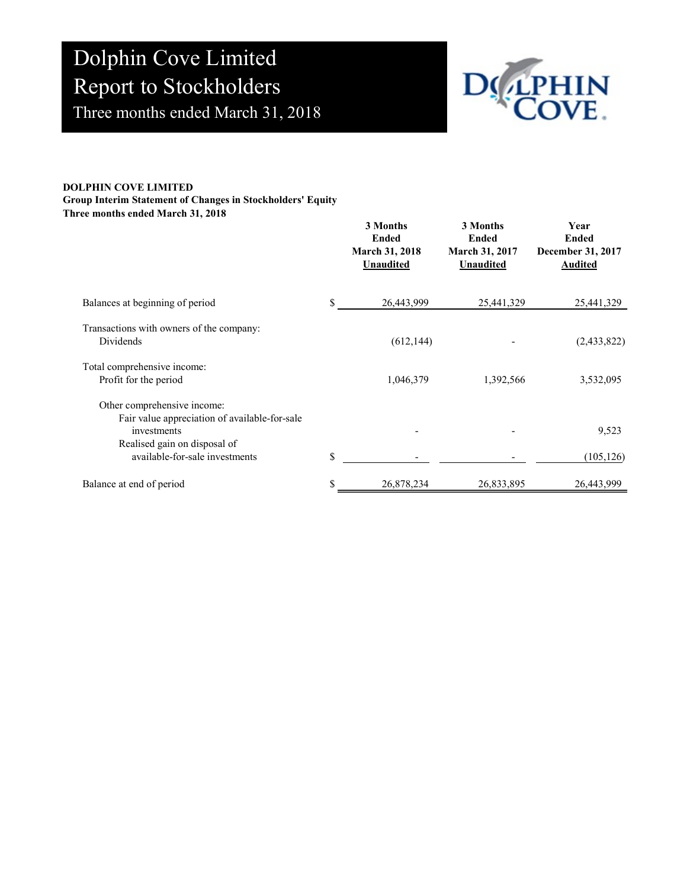

#### DOLPHIN COVE LIMITED Group Interim Statement of Changes in Stockholders' Equity Three months ended March 31, 2018

| Dolphin Cove Limited<br><b>Report to Stockholders</b><br>Three months ended March 31, 2018                                                                    |             |                                                                       |                                                                |                                                             |
|---------------------------------------------------------------------------------------------------------------------------------------------------------------|-------------|-----------------------------------------------------------------------|----------------------------------------------------------------|-------------------------------------------------------------|
| <b>DLPHIN COVE LIMITED</b><br>oup Interim Statement of Changes in Stockholders' Equity<br>ree months ended March 31, 2018                                     |             | 3 Months<br><b>Ended</b><br><b>March 31, 2018</b><br><b>Unaudited</b> | 3 Months<br><b>Ended</b><br>March 31, 2017<br><b>Unaudited</b> | Year<br><b>Ended</b><br>December 31, 2017<br><b>Audited</b> |
| Balances at beginning of period                                                                                                                               | \$          | 26,443,999                                                            | 25,441,329                                                     | 25,441,329                                                  |
| Transactions with owners of the company:<br>Dividends                                                                                                         |             | (612, 144)                                                            |                                                                | (2,433,822)                                                 |
| Total comprehensive income:<br>Profit for the period                                                                                                          |             | 1,046,379                                                             | 1,392,566                                                      | 3,532,095                                                   |
| Other comprehensive income:<br>Fair value appreciation of available-for-sale<br>investments<br>Realised gain on disposal of<br>available-for-sale investments | $\mathbb S$ |                                                                       |                                                                | 9,523<br>(105, 126)                                         |
| Balance at end of period                                                                                                                                      | \$          | 26,878,234                                                            | 26,833,895                                                     | 26,443,999                                                  |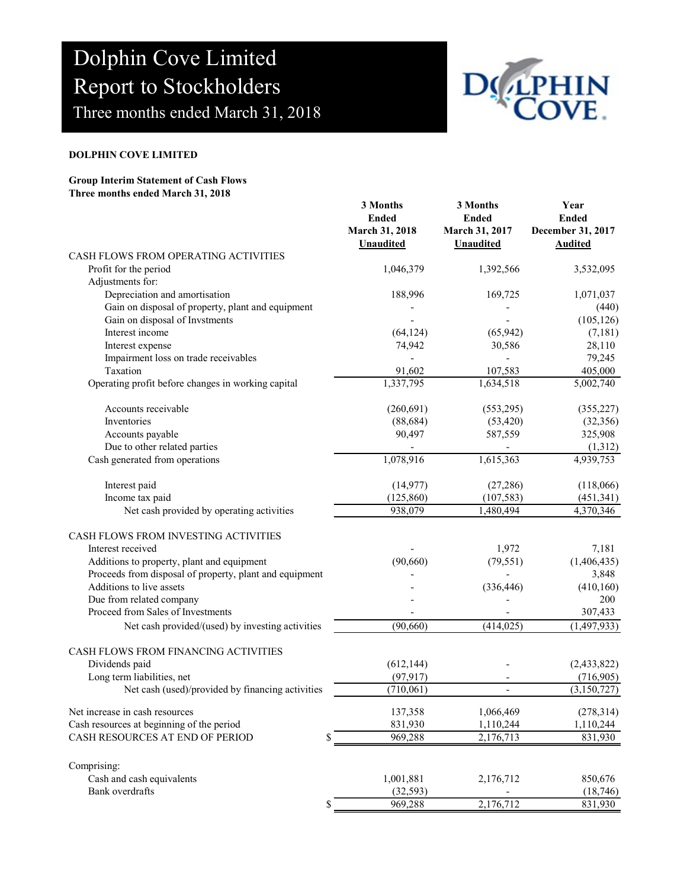

#### DOLPHIN COVE LIMITED

### Group Interim Statement of Cash Flows Three months ended March 31, 2018

| Dolphin Cove Limited                                                                                  |                                |                                |                                   |  |  |
|-------------------------------------------------------------------------------------------------------|--------------------------------|--------------------------------|-----------------------------------|--|--|
| <b>Report to Stockholders</b>                                                                         |                                |                                |                                   |  |  |
| Three months ended March 31, 2018                                                                     |                                |                                |                                   |  |  |
| <b>DOLPHIN COVE LIMITED</b>                                                                           |                                |                                |                                   |  |  |
| <b>Group Interim Statement of Cash Flows</b>                                                          |                                |                                |                                   |  |  |
| Three months ended March 31, 2018                                                                     | 3 Months                       | 3 Months                       | Year                              |  |  |
|                                                                                                       | <b>Ended</b><br>March 31, 2018 | <b>Ended</b><br>March 31, 2017 | <b>Ended</b><br>December 31, 2017 |  |  |
|                                                                                                       | <b>Unaudited</b>               | Unaudited                      | <b>Audited</b>                    |  |  |
| CASH FLOWS FROM OPERATING ACTIVITIES<br>Profit for the period                                         | 1,046,379                      | 1,392,566                      | 3,532,095                         |  |  |
| Adjustments for:<br>Depreciation and amortisation                                                     | 188,996                        | 169,725                        | 1,071,037                         |  |  |
| Gain on disposal of property, plant and equipment                                                     |                                |                                | (440)                             |  |  |
| Gain on disposal of Invstments<br>Interest income                                                     | (64, 124)                      | (65, 942)                      | (105, 126)<br>(7,181)             |  |  |
| Interest expense                                                                                      | 74,942                         | 30,586                         | 28,110                            |  |  |
| Impairment loss on trade receivables                                                                  |                                |                                | 79,245                            |  |  |
| Taxation                                                                                              | 91,602                         | 107,583                        | 405,000                           |  |  |
| Operating profit before changes in working capital                                                    | 1,337,795                      | 1,634,518                      | 5,002,740                         |  |  |
| Accounts receivable                                                                                   | (260,691)                      | (553,295)                      | (355, 227)                        |  |  |
| Inventories                                                                                           | (88, 684)                      | (53, 420)                      | (32, 356)                         |  |  |
| Accounts payable                                                                                      | 90,497                         | 587,559                        | 325,908                           |  |  |
| Due to other related parties<br>Cash generated from operations                                        | 1,078,916                      |                                | (1,312)                           |  |  |
|                                                                                                       |                                | 1,615,363                      | 4,939,753                         |  |  |
| Interest paid                                                                                         | (14, 977)                      | (27, 286)                      | (118,066)                         |  |  |
| Income tax paid                                                                                       | (125, 860)                     | (107, 583)                     | (451, 341)                        |  |  |
| Net cash provided by operating activities                                                             | 938,079                        | 1,480,494                      | 4,370,346                         |  |  |
| CASH FLOWS FROM INVESTING ACTIVITIES                                                                  |                                |                                |                                   |  |  |
| Interest received                                                                                     |                                | 1,972                          | 7,181                             |  |  |
| Additions to property, plant and equipment<br>Proceeds from disposal of property, plant and equipment | (90,660)                       | (79, 551)                      | (1,406,435)<br>3,848              |  |  |
| Additions to live assets                                                                              |                                | (336, 446)                     | (410, 160)                        |  |  |
| Due from related company                                                                              |                                |                                | 200                               |  |  |
| Proceed from Sales of Investments                                                                     |                                |                                | 307,433                           |  |  |
| Net cash provided/(used) by investing activities                                                      | (90, 660)                      | (414, 025)                     | (1,497,933)                       |  |  |
| CASH FLOWS FROM FINANCING ACTIVITIES                                                                  |                                |                                |                                   |  |  |
| Dividends paid                                                                                        | (612, 144)                     |                                | (2,433,822)                       |  |  |
| Long term liabilities, net                                                                            | (97, 917)                      |                                | (716,905)                         |  |  |
| Net cash (used)/provided by financing activities                                                      | (710,061)                      |                                | (3,150,727)                       |  |  |
| Net increase in cash resources                                                                        | 137,358                        | 1,066,469                      | (278, 314)                        |  |  |
| Cash resources at beginning of the period                                                             | 831,930                        | 1,110,244                      | 1,110,244                         |  |  |
| CASH RESOURCES AT END OF PERIOD                                                                       | 969,288                        | 2,176,713                      | 831,930                           |  |  |
| Comprising:                                                                                           |                                |                                |                                   |  |  |
| Cash and cash equivalents                                                                             | 1,001,881                      | 2,176,712                      | 850,676                           |  |  |
| Bank overdrafts                                                                                       | (32, 593)                      |                                | (18, 746)                         |  |  |
|                                                                                                       | 969,288                        | 2,176,712                      | 831,930                           |  |  |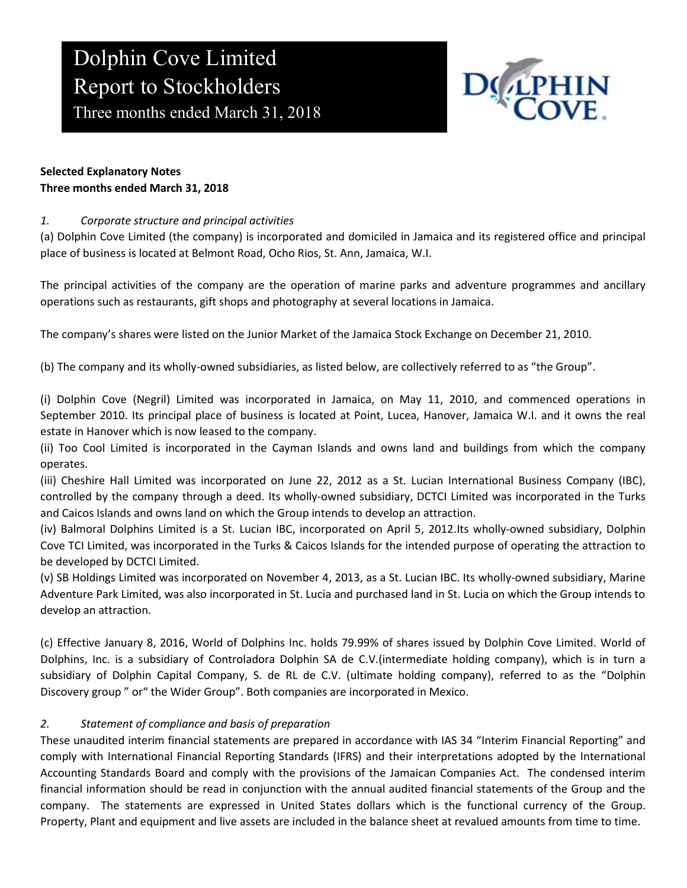# Dolphin Cove Limited Report to Stockholders

Three months ended March 31, 2018



#### Selected Explanatory Notes Three months ended March 31, 2018

### 1. Corporate structure and principal activities

(a) Dolphin Cove Limited (the company) is incorporated and domiciled in Jamaica and its registered office and principal place of business is located at Belmont Road, Ocho Rios, St. Ann, Jamaica, W.I.

The principal activities of the company are the operation of marine parks and adventure programmes and ancillary operations such as restaurants, gift shops and photography at several locations in Jamaica.

The company's shares were listed on the Junior Market of the Jamaica Stock Exchange on December 21, 2010.

(b) The company and its wholly-owned subsidiaries, as listed below, are collectively referred to as "the Group".

(i) Dolphin Cove (Negril) Limited was incorporated in Jamaica, on May 11, 2010, and commenced operations in September 2010. Its principal place of business is located at Point, Lucea, Hanover, Jamaica W.I. and it owns the real estate in Hanover which is now leased to the company.

(ii) Too Cool Limited is incorporated in the Cayman Islands and owns land and buildings from which the company operates.

(iii) Cheshire Hall Limited was incorporated on June 22, 2012 as a St. Lucian International Business Company (IBC), controlled by the company through a deed. Its wholly-owned subsidiary, DCTCI Limited was incorporated in the Turks and Caicos Islands and owns land on which the Group intends to develop an attraction.

(iv) Balmoral Dolphins Limited is a St. Lucian IBC, incorporated on April 5, 2012.Its wholly-owned subsidiary, Dolphin Cove TCI Limited, was incorporated in the Turks & Caicos Islands for the intended purpose of operating the attraction to be developed by DCTCI Limited.

(v) SB Holdings Limited was incorporated on November 4, 2013, as a St. Lucian IBC. Its wholly-owned subsidiary, Marine Adventure Park Limited, was also incorporated in St. Lucia and purchased land in St. Lucia on which the Group intends to develop an attraction.

(c) Effective January 8, 2016, World of Dolphins Inc. holds 79.99% of shares issued by Dolphin Cove Limited. World of Dolphins, Inc. is a subsidiary of Controladora Dolphin SA de C.V.(intermediate holding company), which is in turn a subsidiary of Dolphin Capital Company, S. de RL de C.V. (ultimate holding company), referred to as the "Dolphin Discovery group " or" the Wider Group". Both companies are incorporated in Mexico.

### 2. Statement of compliance and basis of preparation

These unaudited interim financial statements are prepared in accordance with IAS 34 "Interim Financial Reporting" and comply with International Financial Reporting Standards (IFRS) and their interpretations adopted by the International Accounting Standards Board and comply with the provisions of the Jamaican Companies Act. The condensed interim financial information should be read in conjunction with the annual audited financial statements of the Group and the company. The statements are expressed in United States dollars which is the functional currency of the Group. Property, Plant and equipment and live assets are included in the balance sheet at revalued amounts from time to time.